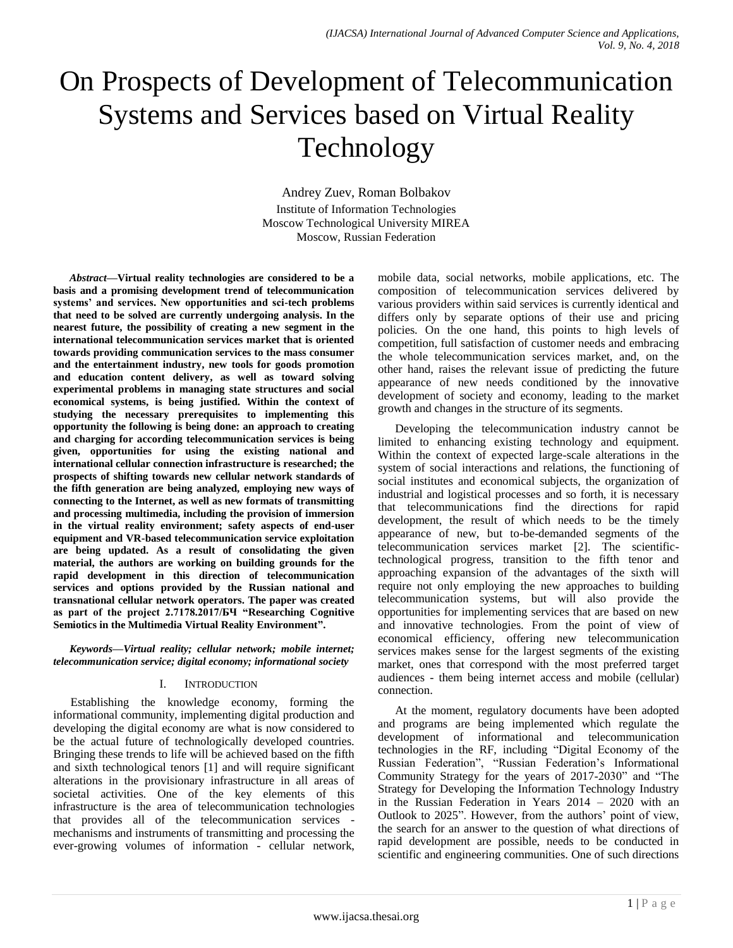# On Prospects of Development of Telecommunication Systems and Services based on Virtual Reality Technology

Andrey Zuev, Roman Bolbakov Institute of Information Technologies Moscow Technological University MIREA Moscow, Russian Federation

*Abstract***—Virtual reality technologies are considered to be a basis and a promising development trend of telecommunication systems' and services. New opportunities and sci-tech problems that need to be solved are currently undergoing analysis. In the nearest future, the possibility of creating a new segment in the international telecommunication services market that is oriented towards providing communication services to the mass consumer and the entertainment industry, new tools for goods promotion and education content delivery, as well as toward solving experimental problems in managing state structures and social economical systems, is being justified. Within the context of studying the necessary prerequisites to implementing this opportunity the following is being done: an approach to creating and charging for according telecommunication services is being given, opportunities for using the existing national and international cellular connection infrastructure is researched; the prospects of shifting towards new cellular network standards of the fifth generation are being analyzed, employing new ways of connecting to the Internet, as well as new formats of transmitting and processing multimedia, including the provision of immersion in the virtual reality environment; safety aspects of end-user equipment and VR-based telecommunication service exploitation are being updated. As a result of consolidating the given material, the authors are working on building grounds for the rapid development in this direction of telecommunication services and options provided by the Russian national and transnational cellular network operators. The paper was created as part of the project 2.7178.2017/БЧ "Researching Cognitive Semiotics in the Multimedia Virtual Reality Environment".**

*Keywords—Virtual reality; cellular network; mobile internet; telecommunication service; digital economy; informational society*

## I. INTRODUCTION

Establishing the knowledge economy, forming the informational community, implementing digital production and developing the digital economy are what is now considered to be the actual future of technologically developed countries. Bringing these trends to life will be achieved based on the fifth and sixth technological tenors [1] and will require significant alterations in the provisionary infrastructure in all areas of societal activities. One of the key elements of this infrastructure is the area of telecommunication technologies that provides all of the telecommunication services mechanisms and instruments of transmitting and processing the ever-growing volumes of information - cellular network, mobile data, social networks, mobile applications, etc. The composition of telecommunication services delivered by various providers within said services is currently identical and differs only by separate options of their use and pricing policies. On the one hand, this points to high levels of competition, full satisfaction of customer needs and embracing the whole telecommunication services market, and, on the other hand, raises the relevant issue of predicting the future appearance of new needs conditioned by the innovative development of society and economy, leading to the market growth and changes in the structure of its segments.

Developing the telecommunication industry cannot be limited to enhancing existing technology and equipment. Within the context of expected large-scale alterations in the system of social interactions and relations, the functioning of social institutes and economical subjects, the organization of industrial and logistical processes and so forth, it is necessary that telecommunications find the directions for rapid development, the result of which needs to be the timely appearance of new, but to-be-demanded segments of the telecommunication services market [2]. The scientifictechnological progress, transition to the fifth tenor and approaching expansion of the advantages of the sixth will require not only employing the new approaches to building telecommunication systems, but will also provide the opportunities for implementing services that are based on new and innovative technologies. From the point of view of economical efficiency, offering new telecommunication services makes sense for the largest segments of the existing market, ones that correspond with the most preferred target audiences - them being internet access and mobile (cellular) connection.

At the moment, regulatory documents have been adopted and programs are being implemented which regulate the development of informational and telecommunication technologies in the RF, including "Digital Economy of the Russian Federation", "Russian Federation's Informational Community Strategy for the years of 2017-2030" and "The Strategy for Developing the Information Technology Industry in the Russian Federation in Years 2014 – 2020 with an Outlook to 2025". However, from the authors' point of view, the search for an answer to the question of what directions of rapid development are possible, needs to be conducted in scientific and engineering communities. One of such directions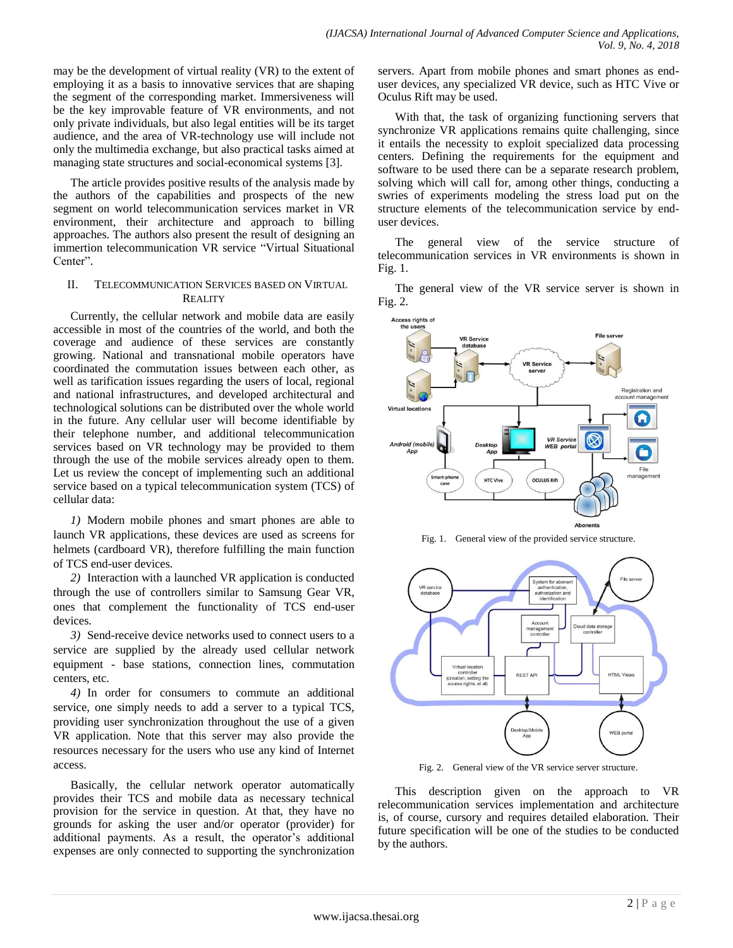may be the development of virtual reality (VR) to the extent of employing it as a basis to innovative services that are shaping the segment of the corresponding market. Immersiveness will be the key improvable feature of VR environments, and not only private individuals, but also legal entities will be its target audience, and the area of VR-technology use will include not only the multimedia exchange, but also practical tasks aimed at managing state structures and social-economical systems [3].

The article provides positive results of the analysis made by the authors of the capabilities and prospects of the new segment on world telecommunication services market in VR environment, their architecture and approach to billing approaches. The authors also present the result of designing an immertion telecommunication VR service "Virtual Situational Center".

# II. TELECOMMUNICATION SERVICES BASED ON VIRTUAL **REALITY**

Currently, the cellular network and mobile data are easily accessible in most of the countries of the world, and both the coverage and audience of these services are constantly growing. National and transnational mobile operators have coordinated the commutation issues between each other, as well as tarification issues regarding the users of local, regional and national infrastructures, and developed architectural and technological solutions can be distributed over the whole world in the future. Any cellular user will become identifiable by their telephone number, and additional telecommunication services based on VR technology may be provided to them through the use of the mobile services already open to them. Let us review the concept of implementing such an additional service based on a typical telecommunication system (TCS) of cellular data:

*1)* Modern mobile phones and smart phones are able to launch VR applications, these devices are used as screens for helmets (cardboard VR), therefore fulfilling the main function of TCS end-user devices.

*2)* Interaction with a launched VR application is conducted through the use of controllers similar to Samsung Gear VR, ones that complement the functionality of TCS end-user devices.

*3)* Send-receive device networks used to connect users to a service are supplied by the already used cellular network equipment - base stations, connection lines, commutation centers, etc.

*4)* In order for consumers to commute an additional service, one simply needs to add a server to a typical TCS, providing user synchronization throughout the use of a given VR application. Note that this server may also provide the resources necessary for the users who use any kind of Internet access.

Basically, the cellular network operator automatically provides their TCS and mobile data as necessary technical provision for the service in question. At that, they have no grounds for asking the user and/or operator (provider) for additional payments. As a result, the operator's additional expenses are only connected to supporting the synchronization servers. Apart from mobile phones and smart phones as enduser devices, any specialized VR device, such as HTC Vive or Oculus Rift may be used.

With that, the task of organizing functioning servers that synchronize VR applications remains quite challenging, since it entails the necessity to exploit specialized data processing centers. Defining the requirements for the equipment and software to be used there can be a separate research problem, solving which will call for, among other things, conducting a swries of experiments modeling the stress load put on the structure elements of the telecommunication service by enduser devices.

The general view of the service structure of telecommunication services in VR environments is shown in Fig. 1.

The general view of the VR service server is shown in Fig. 2.



Fig. 1. General view of the provided service structure.



Fig. 2. General view of the VR service server structure.

This description given on the approach to VR relecommunication services implementation and architecture is, of course, cursory and requires detailed elaboration. Their future specification will be one of the studies to be conducted by the authors.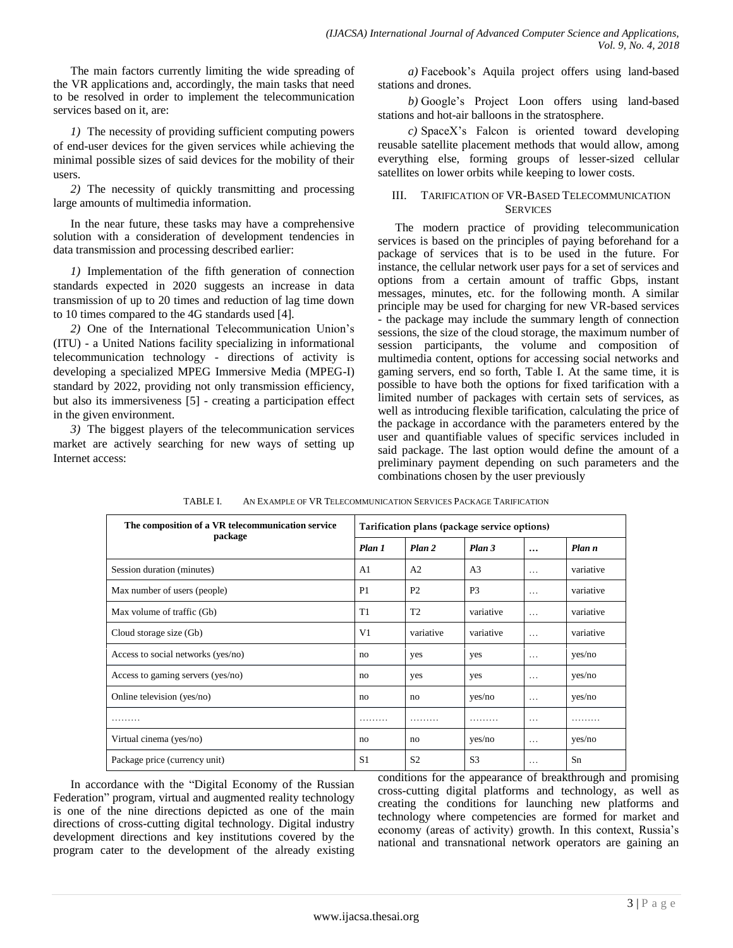The main factors currently limiting the wide spreading of the VR applications and, accordingly, the main tasks that need to be resolved in order to implement the telecommunication services based on it, are:

*1)* The necessity of providing sufficient computing powers of end-user devices for the given services while achieving the minimal possible sizes of said devices for the mobility of their users.

*2)* The necessity of quickly transmitting and processing large amounts of multimedia information.

In the near future, these tasks may have a comprehensive solution with a consideration of development tendencies in data transmission and processing described earlier:

*1)* Implementation of the fifth generation of connection standards expected in 2020 suggests an increase in data transmission of up to 20 times and reduction of lag time down to 10 times compared to the 4G standards used [4].

*2)* One of the International Telecommunication Union's (ITU) - a United Nations facility specializing in informational telecommunication technology - directions of activity is developing a specialized MPEG Immersive Media (MPEG-I) standard by 2022, providing not only transmission efficiency, but also its immersiveness [5] - creating a participation effect in the given environment.

*3)* The biggest players of the telecommunication services market are actively searching for new ways of setting up Internet access:

*a)* Facebook's Aquila project offers using land-based stations and drones.

*b)* Google's Project Loon offers using land-based stations and hot-air balloons in the stratosphere.

*c)* SpaceX's Falcon is oriented toward developing reusable satellite placement methods that would allow, among everything else, forming groups of lesser-sized cellular satellites on lower orbits while keeping to lower costs.

# III. TARIFICATION OF VR-BASED TELECOMMUNICATION **SERVICES**

The modern practice of providing telecommunication services is based on the principles of paying beforehand for a package of services that is to be used in the future. For instance, the cellular network user pays for a set of services and options from a certain amount of traffic Gbps, instant messages, minutes, etc. for the following month. A similar principle may be used for charging for new VR-based services - the package may include the summary length of connection sessions, the size of the cloud storage, the maximum number of session participants, the volume and composition of multimedia content, options for accessing social networks and gaming servers, end so forth, Table I. At the same time, it is possible to have both the options for fixed tarification with a limited number of packages with certain sets of services, as well as introducing flexible tarification, calculating the price of the package in accordance with the parameters entered by the user and quantifiable values of specific services included in said package. The last option would define the amount of a preliminary payment depending on such parameters and the combinations chosen by the user previously

| The composition of a VR telecommunication service<br>package | Tarification plans (package service options) |                |                |          |           |
|--------------------------------------------------------------|----------------------------------------------|----------------|----------------|----------|-----------|
|                                                              | Plan 1                                       | Plan 2         | Plan 3         | $\cdots$ | Plan n    |
| Session duration (minutes)                                   | A1                                           | A <sub>2</sub> | A <sub>3</sub> | $\cdots$ | variative |
| Max number of users (people)                                 | P <sub>1</sub>                               | P <sub>2</sub> | P <sub>3</sub> | $\cdots$ | variative |
| Max volume of traffic (Gb)                                   | T1                                           | T <sub>2</sub> | variative      | $\cdots$ | variative |
| Cloud storage size (Gb)                                      | V <sub>1</sub>                               | variative      | variative      | $\cdots$ | variative |
| Access to social networks (yes/no)                           | no                                           | yes            | yes            | $\cdots$ | yes/no    |
| Access to gaming servers (yes/no)                            | no                                           | yes            | yes            | $\cdots$ | yes/no    |
| Online television (yes/no)                                   | no                                           | no             | yes/no         | $\cdots$ | yes/no    |
| .                                                            | .                                            | .              | .              | $\cdots$ | .         |
| Virtual cinema (yes/no)                                      | no                                           | no             | yes/no         | $\cdots$ | yes/no    |
| Package price (currency unit)                                | S <sub>1</sub>                               | S <sub>2</sub> | S <sub>3</sub> | $\cdots$ | Sn        |

TABLE I. AN EXAMPLE OF VR TELECOMMUNICATION SERVICES PACKAGE TARIFICATION

In accordance with the "Digital Economy of the Russian Federation" program, virtual and augmented reality technology is one of the nine directions depicted as one of the main directions of cross-cutting digital technology. Digital industry development directions and key institutions covered by the program cater to the development of the already existing conditions for the appearance of breakthrough and promising cross-cutting digital platforms and technology, as well as creating the conditions for launching new platforms and technology where competencies are formed for market and economy (areas of activity) growth. In this context, Russia's national and transnational network operators are gaining an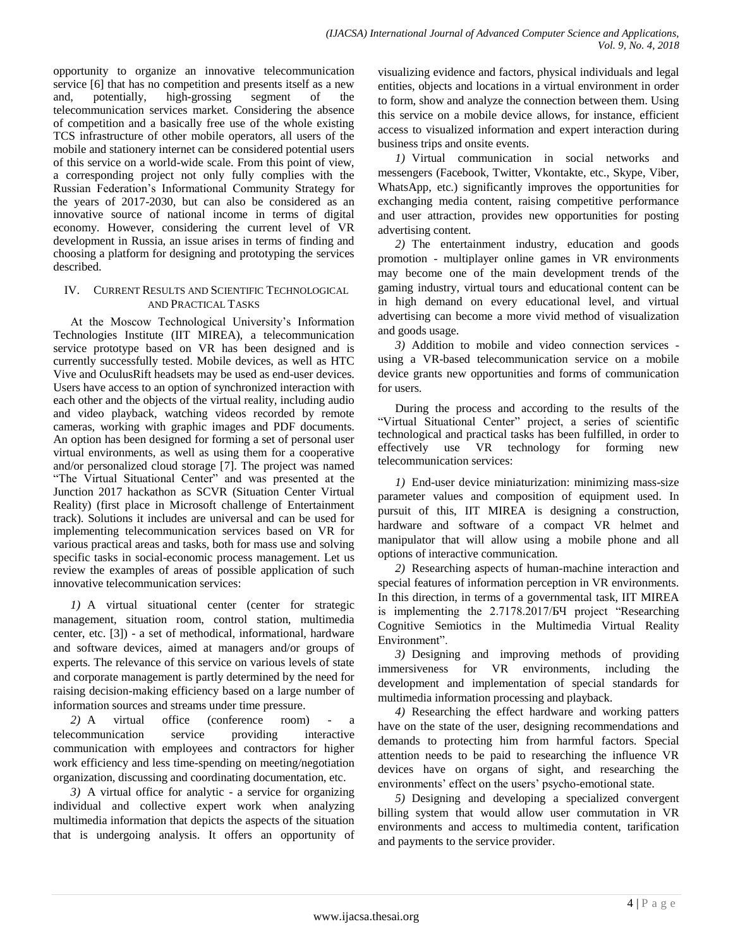opportunity to organize an innovative telecommunication service [6] that has no competition and presents itself as a new and, potentially, high-grossing segment of the telecommunication services market. Considering the absence of competition and a basically free use of the whole existing TCS infrastructure of other mobile operators, all users of the mobile and stationery internet can be considered potential users of this service on a world-wide scale. From this point of view, a corresponding project not only fully complies with the Russian Federation's Informational Community Strategy for the years of 2017-2030, but can also be considered as an innovative source of national income in terms of digital economy. However, considering the current level of VR development in Russia, an issue arises in terms of finding and choosing a platform for designing and prototyping the services described.

## IV. CURRENT RESULTS AND SCIENTIFIC TECHNOLOGICAL AND PRACTICAL TASKS

At the Moscow Technological University's Information Technologies Institute (IIT MIREA), a telecommunication service prototype based on VR has been designed and is currently successfully tested. Mobile devices, as well as HTC Vive and OculusRift headsets may be used as end-user devices. Users have access to an option of synchronized interaction with each other and the objects of the virtual reality, including audio and video playback, watching videos recorded by remote cameras, working with graphic images and PDF documents. An option has been designed for forming a set of personal user virtual environments, as well as using them for a cooperative and/or personalized cloud storage [7]. The project was named "The Virtual Situational Center" and was presented at the Junction 2017 hackathon as SCVR (Situation Center Virtual Reality) (first place in Microsoft challenge of Entertainment track). Solutions it includes are universal and can be used for implementing telecommunication services based on VR for various practical areas and tasks, both for mass use and solving specific tasks in social-economic process management. Let us review the examples of areas of possible application of such innovative telecommunication services:

*1)* A virtual situational center (center for strategic management, situation room, control station, multimedia center, etc. [3]) - a set of methodical, informational, hardware and software devices, aimed at managers and/or groups of experts. The relevance of this service on various levels of state and corporate management is partly determined by the need for raising decision-making efficiency based on a large number of information sources and streams under time pressure.

*2)* A virtual office (conference room) - a telecommunication service providing interactive communication with employees and contractors for higher work efficiency and less time-spending on meeting/negotiation organization, discussing and coordinating documentation, etc.

*3)* A virtual office for analytic - a service for organizing individual and collective expert work when analyzing multimedia information that depicts the aspects of the situation that is undergoing analysis. It offers an opportunity of visualizing evidence and factors, physical individuals and legal entities, objects and locations in a virtual environment in order to form, show and analyze the connection between them. Using this service on a mobile device allows, for instance, efficient access to visualized information and expert interaction during business trips and onsite events.

*1)* Virtual communication in social networks and messengers (Facebook, Twitter, Vkontakte, etc., Skype, Viber, WhatsApp, etc.) significantly improves the opportunities for exchanging media content, raising competitive performance and user attraction, provides new opportunities for posting advertising content.

*2)* The entertainment industry, education and goods promotion - multiplayer online games in VR environments may become one of the main development trends of the gaming industry, virtual tours and educational content can be in high demand on every educational level, and virtual advertising can become a more vivid method of visualization and goods usage.

*3)* Addition to mobile and video connection services using a VR-based telecommunication service on a mobile device grants new opportunities and forms of communication for users.

During the process and according to the results of the "Virtual Situational Center" project, a series of scientific technological and practical tasks has been fulfilled, in order to effectively use VR technology for forming new telecommunication services:

*1)* End-user device miniaturization: minimizing mass-size parameter values and composition of equipment used. In pursuit of this, IIT MIREA is designing a construction, hardware and software of a compact VR helmet and manipulator that will allow using a mobile phone and all options of interactive communication.

*2)* Researching aspects of human-machine interaction and special features of information perception in VR environments. In this direction, in terms of a governmental task, IIT MIREA is implementing the 2.7178.2017/БЧ project "Researching Cognitive Semiotics in the Multimedia Virtual Reality Environment".

*3)* Designing and improving methods of providing immersiveness for VR environments, including the development and implementation of special standards for multimedia information processing and playback.

*4)* Researching the effect hardware and working patters have on the state of the user, designing recommendations and demands to protecting him from harmful factors. Special attention needs to be paid to researching the influence VR devices have on organs of sight, and researching the environments' effect on the users' psycho-emotional state.

*5)* Designing and developing a specialized convergent billing system that would allow user commutation in VR environments and access to multimedia content, tarification and payments to the service provider.